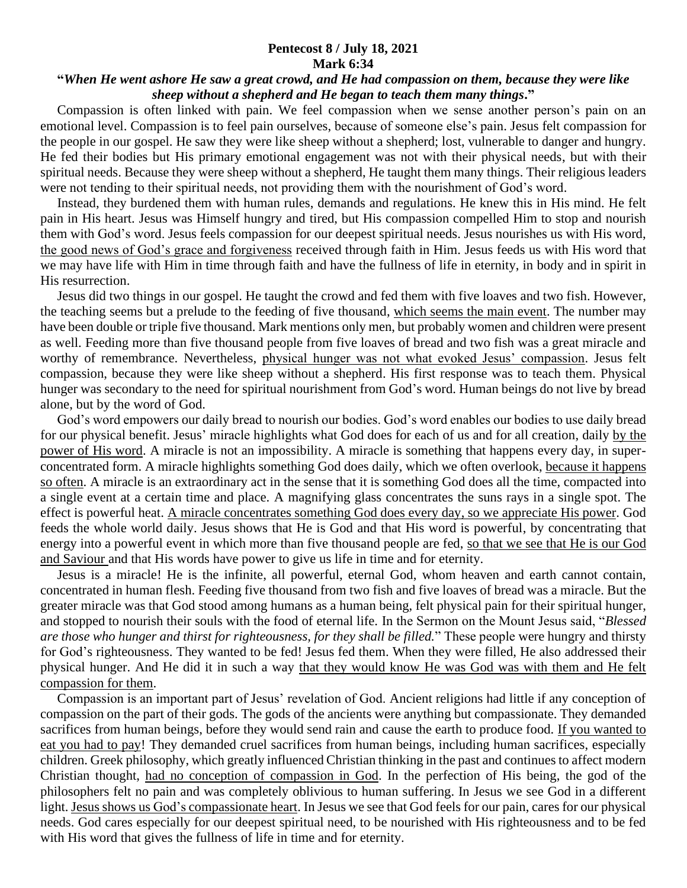## **Pentecost 8 / July 18, 2021 Mark 6:34**

## **"***When He went ashore He saw a great crowd, and He had compassion on them, because they were like sheep without a shepherd and He began to teach them many things***."**

 Compassion is often linked with pain. We feel compassion when we sense another person's pain on an emotional level. Compassion is to feel pain ourselves, because of someone else's pain. Jesus felt compassion for the people in our gospel. He saw they were like sheep without a shepherd; lost, vulnerable to danger and hungry. He fed their bodies but His primary emotional engagement was not with their physical needs, but with their spiritual needs. Because they were sheep without a shepherd, He taught them many things. Their religious leaders were not tending to their spiritual needs, not providing them with the nourishment of God's word.

 Instead, they burdened them with human rules, demands and regulations. He knew this in His mind. He felt pain in His heart. Jesus was Himself hungry and tired, but His compassion compelled Him to stop and nourish them with God's word. Jesus feels compassion for our deepest spiritual needs. Jesus nourishes us with His word, the good news of God's grace and forgiveness received through faith in Him. Jesus feeds us with His word that we may have life with Him in time through faith and have the fullness of life in eternity, in body and in spirit in His resurrection.

 Jesus did two things in our gospel. He taught the crowd and fed them with five loaves and two fish. However, the teaching seems but a prelude to the feeding of five thousand, which seems the main event. The number may have been double or triple five thousand. Mark mentions only men, but probably women and children were present as well. Feeding more than five thousand people from five loaves of bread and two fish was a great miracle and worthy of remembrance. Nevertheless, physical hunger was not what evoked Jesus' compassion. Jesus felt compassion, because they were like sheep without a shepherd. His first response was to teach them. Physical hunger was secondary to the need for spiritual nourishment from God's word. Human beings do not live by bread alone, but by the word of God.

 God's word empowers our daily bread to nourish our bodies. God's word enables our bodies to use daily bread for our physical benefit. Jesus' miracle highlights what God does for each of us and for all creation, daily by the power of His word. A miracle is not an impossibility. A miracle is something that happens every day, in superconcentrated form. A miracle highlights something God does daily, which we often overlook, because it happens so often. A miracle is an extraordinary act in the sense that it is something God does all the time, compacted into a single event at a certain time and place. A magnifying glass concentrates the suns rays in a single spot. The effect is powerful heat. A miracle concentrates something God does every day, so we appreciate His power. God feeds the whole world daily. Jesus shows that He is God and that His word is powerful, by concentrating that energy into a powerful event in which more than five thousand people are fed, so that we see that He is our God and Saviour and that His words have power to give us life in time and for eternity.

 Jesus is a miracle! He is the infinite, all powerful, eternal God, whom heaven and earth cannot contain, concentrated in human flesh. Feeding five thousand from two fish and five loaves of bread was a miracle. But the greater miracle was that God stood among humans as a human being, felt physical pain for their spiritual hunger, and stopped to nourish their souls with the food of eternal life. In the Sermon on the Mount Jesus said, "*Blessed are those who hunger and thirst for righteousness, for they shall be filled.*" These people were hungry and thirsty for God's righteousness. They wanted to be fed! Jesus fed them. When they were filled, He also addressed their physical hunger. And He did it in such a way that they would know He was God was with them and He felt compassion for them.

 Compassion is an important part of Jesus' revelation of God. Ancient religions had little if any conception of compassion on the part of their gods. The gods of the ancients were anything but compassionate. They demanded sacrifices from human beings, before they would send rain and cause the earth to produce food. If you wanted to eat you had to pay! They demanded cruel sacrifices from human beings, including human sacrifices, especially children. Greek philosophy, which greatly influenced Christian thinking in the past and continues to affect modern Christian thought, had no conception of compassion in God. In the perfection of His being, the god of the philosophers felt no pain and was completely oblivious to human suffering. In Jesus we see God in a different light. Jesus shows us God's compassionate heart. In Jesus we see that God feels for our pain, cares for our physical needs. God cares especially for our deepest spiritual need, to be nourished with His righteousness and to be fed with His word that gives the fullness of life in time and for eternity.